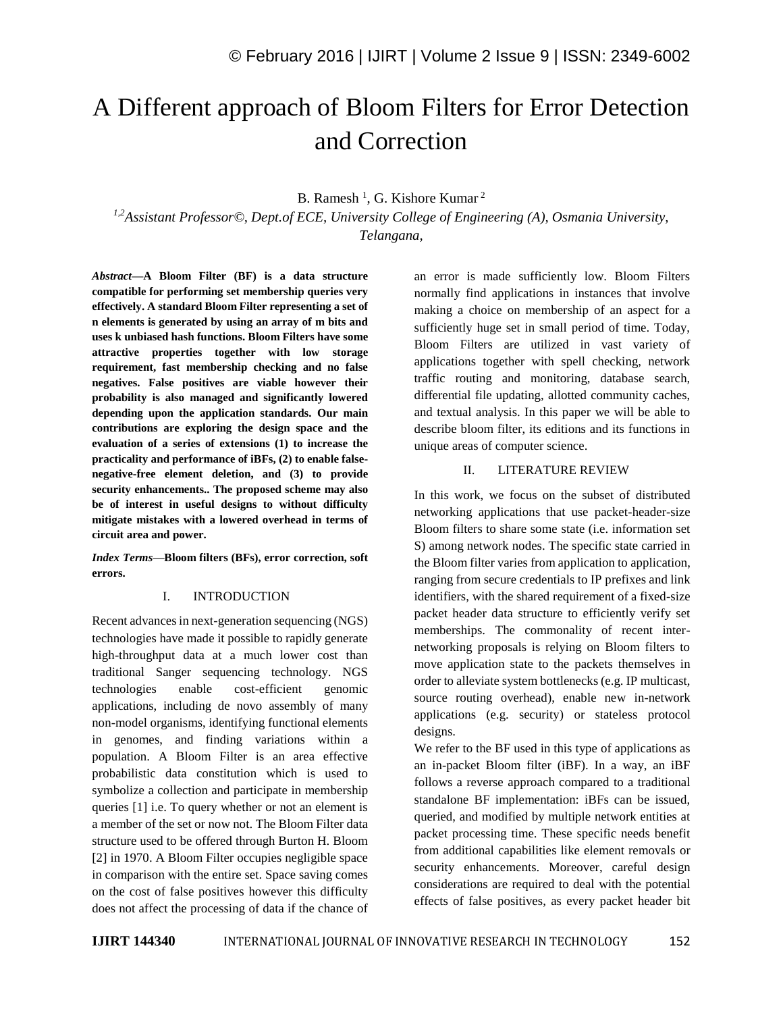# A Different approach of Bloom Filters for Error Detection and Correction

## B. Ramesh<sup>1</sup>, G. Kishore Kumar<sup>2</sup>

*1,2Assistant Professor©, Dept.of ECE, University College of Engineering (A), Osmania University, Telangana,*

*Abstract—***A Bloom Filter (BF) is a data structure compatible for performing set membership queries very effectively. A standard Bloom Filter representing a set of n elements is generated by using an array of m bits and uses k unbiased hash functions. Bloom Filters have some attractive properties together with low storage requirement, fast membership checking and no false negatives. False positives are viable however their probability is also managed and significantly lowered depending upon the application standards. Our main contributions are exploring the design space and the evaluation of a series of extensions (1) to increase the practicality and performance of iBFs, (2) to enable falsenegative-free element deletion, and (3) to provide security enhancements.. The proposed scheme may also be of interest in useful designs to without difficulty mitigate mistakes with a lowered overhead in terms of circuit area and power.**

*Index Terms—***Bloom filters (BFs), error correction, soft errors.**

#### I. INTRODUCTION

Recent advances in next-generation sequencing (NGS) technologies have made it possible to rapidly generate high-throughput data at a much lower cost than traditional Sanger sequencing technology. NGS technologies enable cost-efficient genomic applications, including de novo assembly of many non-model organisms, identifying functional elements in genomes, and finding variations within a population. A Bloom Filter is an area effective probabilistic data constitution which is used to symbolize a collection and participate in membership queries [1] i.e. To query whether or not an element is a member of the set or now not. The Bloom Filter data structure used to be offered through Burton H. Bloom [2] in 1970. A Bloom Filter occupies negligible space in comparison with the entire set. Space saving comes on the cost of false positives however this difficulty does not affect the processing of data if the chance of an error is made sufficiently low. Bloom Filters normally find applications in instances that involve making a choice on membership of an aspect for a sufficiently huge set in small period of time. Today, Bloom Filters are utilized in vast variety of applications together with spell checking, network traffic routing and monitoring, database search, differential file updating, allotted community caches, and textual analysis. In this paper we will be able to describe bloom filter, its editions and its functions in unique areas of computer science.

#### II. LITERATURE REVIEW

In this work, we focus on the subset of distributed networking applications that use packet-header-size Bloom filters to share some state (i.e. information set S) among network nodes. The specific state carried in the Bloom filter varies from application to application, ranging from secure credentials to IP prefixes and link identifiers, with the shared requirement of a fixed-size packet header data structure to efficiently verify set memberships. The commonality of recent internetworking proposals is relying on Bloom filters to move application state to the packets themselves in order to alleviate system bottlenecks (e.g. IP multicast, source routing overhead), enable new in-network applications (e.g. security) or stateless protocol designs.

We refer to the BF used in this type of applications as an in-packet Bloom filter (iBF). In a way, an iBF follows a reverse approach compared to a traditional standalone BF implementation: iBFs can be issued, queried, and modified by multiple network entities at packet processing time. These specific needs benefit from additional capabilities like element removals or security enhancements. Moreover, careful design considerations are required to deal with the potential effects of false positives, as every packet header bit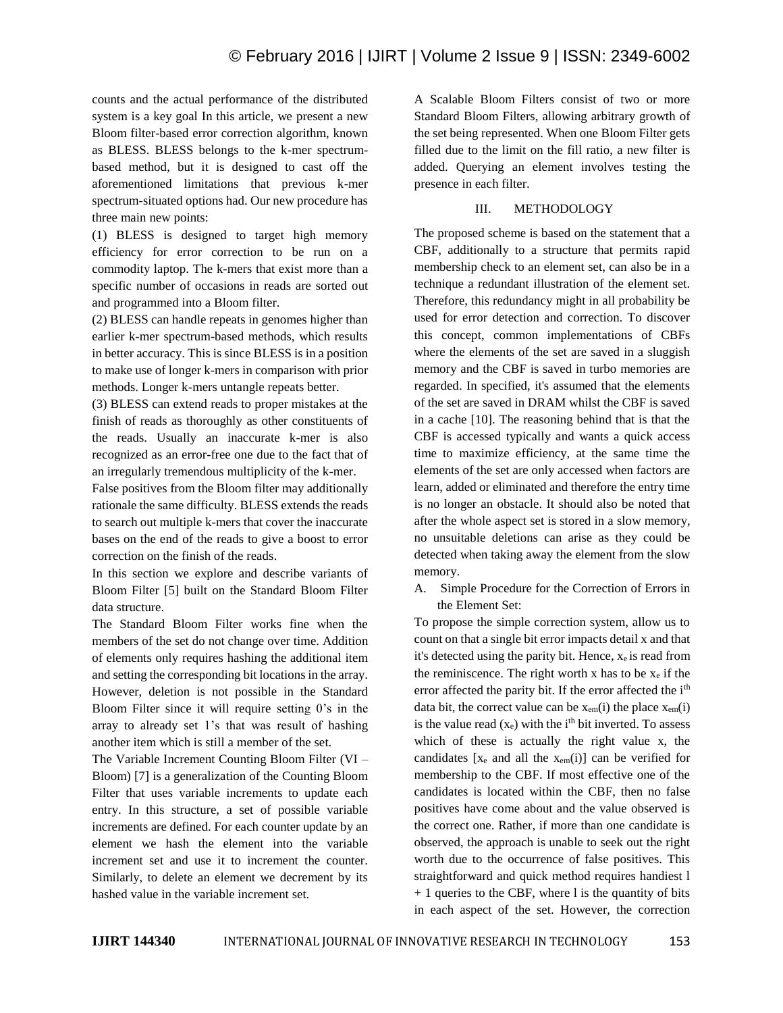counts and the actual performance of the distributed system is a key goal In this article, we present a new Bloom filter-based error correction algorithm, known as BLESS. BLESS belongs to the k-mer spectrumbased method, but it is designed to cast off the aforementioned limitations that previous k-mer spectrum-situated options had. Our new procedure has three main new points:

(1) BLESS is designed to target high memory efficiency for error correction to be run on a commodity laptop. The k-mers that exist more than a specific number of occasions in reads are sorted out and programmed into a Bloom filter.

(2) BLESS can handle repeats in genomes higher than earlier k-mer spectrum-based methods, which results in better accuracy. This is since BLESS is in a position to make use of longer k-mers in comparison with prior methods. Longer k-mers untangle repeats better.

(3) BLESS can extend reads to proper mistakes at the finish of reads as thoroughly as other constituents of the reads. Usually an inaccurate k-mer is also recognized as an error-free one due to the fact that of an irregularly tremendous multiplicity of the k-mer.

False positives from the Bloom filter may additionally rationale the same difficulty. BLESS extends the reads to search out multiple k-mers that cover the inaccurate bases on the end of the reads to give a boost to error correction on the finish of the reads.

In this section we explore and describe variants of Bloom Filter [5] built on the Standard Bloom Filter data structure.

The Standard Bloom Filter works fine when the members of the set do not change over time. Addition of elements only requires hashing the additional item and setting the corresponding bit locations in the array. However, deletion is not possible in the Standard Bloom Filter since it will require setting 0's in the array to already set 1's that was result of hashing another item which is still a member of the set.

The Variable Increment Counting Bloom Filter (VI – Bloom) [7] is a generalization of the Counting Bloom Filter that uses variable increments to update each entry. In this structure, a set of possible variable increments are defined. For each counter update by an element we hash the element into the variable increment set and use it to increment the counter. Similarly, to delete an element we decrement by its hashed value in the variable increment set.

A Scalable Bloom Filters consist of two or more Standard Bloom Filters, allowing arbitrary growth of the set being represented. When one Bloom Filter gets filled due to the limit on the fill ratio, a new filter is added. Querying an element involves testing the presence in each filter.

#### III. METHODOLOGY

The proposed scheme is based on the statement that a CBF, additionally to a structure that permits rapid membership check to an element set, can also be in a technique a redundant illustration of the element set. Therefore, this redundancy might in all probability be used for error detection and correction. To discover this concept, common implementations of CBFs where the elements of the set are saved in a sluggish memory and the CBF is saved in turbo memories are regarded. In specified, it's assumed that the elements of the set are saved in DRAM whilst the CBF is saved in a cache [10]. The reasoning behind that is that the CBF is accessed typically and wants a quick access time to maximize efficiency, at the same time the elements of the set are only accessed when factors are learn, added or eliminated and therefore the entry time is no longer an obstacle. It should also be noted that after the whole aspect set is stored in a slow memory, no unsuitable deletions can arise as they could be detected when taking away the element from the slow memory.

A. Simple Procedure for the Correction of Errors in the Element Set:

To propose the simple correction system, allow us to count on that a single bit error impacts detail x and that it's detected using the parity bit. Hence,  $x_e$  is read from the reminiscence. The right worth x has to be  $x_e$  if the error affected the parity bit. If the error affected the i<sup>th</sup> data bit, the correct value can be  $x_{em}(i)$  the place  $x_{em}(i)$ is the value read  $(x_e)$  with the i<sup>th</sup> bit inverted. To assess which of these is actually the right value x, the candidates [ $x_e$  and all the  $x_{em}(i)$ ] can be verified for membership to the CBF. If most effective one of the candidates is located within the CBF, then no false positives have come about and the value observed is the correct one. Rather, if more than one candidate is observed, the approach is unable to seek out the right worth due to the occurrence of false positives. This straightforward and quick method requires handiest l + 1 queries to the CBF, where l is the quantity of bits in each aspect of the set. However, the correction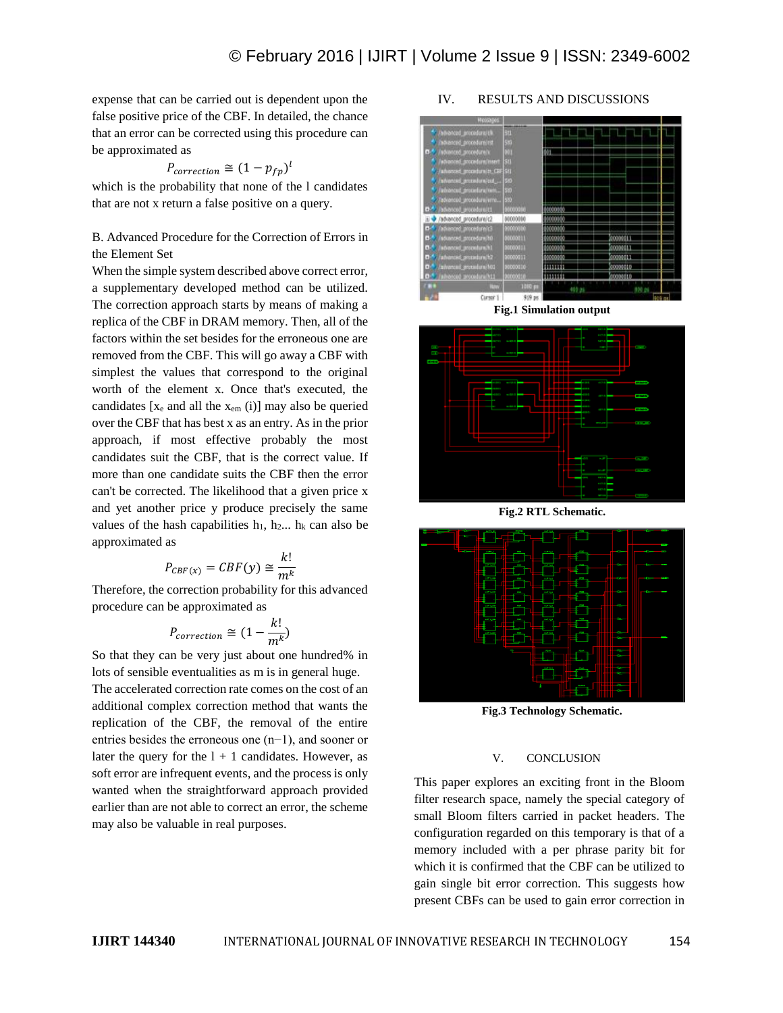expense that can be carried out is dependent upon the false positive price of the CBF. In detailed, the chance that an error can be corrected using this procedure can be approximated as

$$
P_{correction} \cong (1 - p_{fp})^l
$$

which is the probability that none of the l candidates that are not x return a false positive on a query.

# B. Advanced Procedure for the Correction of Errors in the Element Set

When the simple system described above correct error, a supplementary developed method can be utilized. The correction approach starts by means of making a replica of the CBF in DRAM memory. Then, all of the factors within the set besides for the erroneous one are removed from the CBF. This will go away a CBF with simplest the values that correspond to the original worth of the element x. Once that's executed, the candidates  $[x_e$  and all the  $x_{em}$  (i)] may also be queried over the CBF that has best x as an entry. As in the prior approach, if most effective probably the most candidates suit the CBF, that is the correct value. If more than one candidate suits the CBF then the error can't be corrected. The likelihood that a given price x and yet another price y produce precisely the same values of the hash capabilities  $h_1$ ,  $h_2$ ...  $h_k$  can also be approximated as

$$
P_{CBF(x)} = CBF(y) \cong \frac{k!}{m^k}
$$

Therefore, the correction probability for this advanced procedure can be approximated as

$$
P_{correction} \cong (1-\frac{k!}{m^k})
$$

So that they can be very just about one hundred% in lots of sensible eventualities as m is in general huge. The accelerated correction rate comes on the cost of an additional complex correction method that wants the replication of the CBF, the removal of the entire entries besides the erroneous one (n−1), and sooner or later the query for the  $l + 1$  candidates. However, as soft error are infrequent events, and the process is only wanted when the straightforward approach provided earlier than are not able to correct an error, the scheme may also be valuable in real purposes.

## IV. RESULTS AND DISCUSSIONS



**Fig.1 Simulation output**



**Fig.2 RTL Schematic.**



**Fig.3 Technology Schematic.**

### V. CONCLUSION

This paper explores an exciting front in the Bloom filter research space, namely the special category of small Bloom filters carried in packet headers. The configuration regarded on this temporary is that of a memory included with a per phrase parity bit for which it is confirmed that the CBF can be utilized to gain single bit error correction. This suggests how present CBFs can be used to gain error correction in